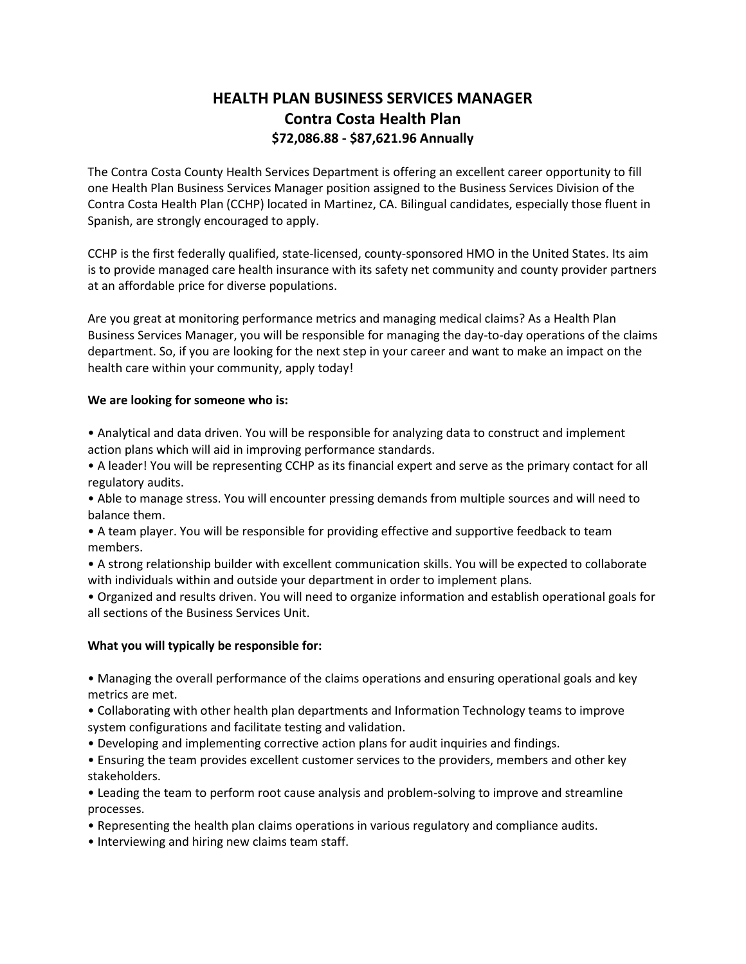# **HEALTH PLAN BUSINESS SERVICES MANAGER Contra Costa Health Plan \$72,086.88 - \$87,621.96 Annually**

The Contra Costa County Health Services Department is offering an excellent career opportunity to fill one Health Plan Business Services Manager position assigned to the Business Services Division of the Contra Costa Health Plan (CCHP) located in Martinez, CA. Bilingual candidates, especially those fluent in Spanish, are strongly encouraged to apply.

CCHP is the first federally qualified, state-licensed, county-sponsored HMO in the United States. Its aim is to provide managed care health insurance with its safety net community and county provider partners at an affordable price for diverse populations.

Are you great at monitoring performance metrics and managing medical claims? As a Health Plan Business Services Manager, you will be responsible for managing the day-to-day operations of the claims department. So, if you are looking for the next step in your career and want to make an impact on the health care within your community, apply today!

# **We are looking for someone who is:**

• Analytical and data driven. You will be responsible for analyzing data to construct and implement action plans which will aid in improving performance standards.

• A leader! You will be representing CCHP as its financial expert and serve as the primary contact for all regulatory audits.

• Able to manage stress. You will encounter pressing demands from multiple sources and will need to balance them.

• A team player. You will be responsible for providing effective and supportive feedback to team members.

• A strong relationship builder with excellent communication skills. You will be expected to collaborate with individuals within and outside your department in order to implement plans.

• Organized and results driven. You will need to organize information and establish operational goals for all sections of the Business Services Unit.

# **What you will typically be responsible for:**

• Managing the overall performance of the claims operations and ensuring operational goals and key metrics are met.

• Collaborating with other health plan departments and Information Technology teams to improve system configurations and facilitate testing and validation.

• Developing and implementing corrective action plans for audit inquiries and findings.

• Ensuring the team provides excellent customer services to the providers, members and other key stakeholders.

• Leading the team to perform root cause analysis and problem-solving to improve and streamline processes.

• Representing the health plan claims operations in various regulatory and compliance audits.

• Interviewing and hiring new claims team staff.